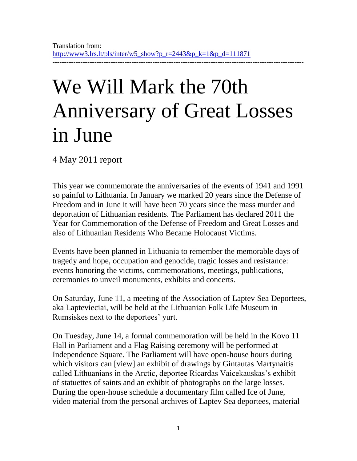## We Will Mark the 70th Anniversary of Great Losses in June

4 May 2011 report

This year we commemorate the anniversaries of the events of 1941 and 1991 so painful to Lithuania. In January we marked 20 years since the Defense of Freedom and in June it will have been 70 years since the mass murder and deportation of Lithuanian residents. The Parliament has declared 2011 the Year for Commemoration of the Defense of Freedom and Great Losses and also of Lithuanian Residents Who Became Holocaust Victims.

Events have been planned in Lithuania to remember the memorable days of tragedy and hope, occupation and genocide, tragic losses and resistance: events honoring the victims, commemorations, meetings, publications, ceremonies to unveil monuments, exhibits and concerts.

On Saturday, June 11, a meeting of the Association of Laptev Sea Deportees, aka Laptevieciai, will be held at the Lithuanian Folk Life Museum in Rumsiskes next to the deportees' yurt.

On Tuesday, June 14, a formal commemoration will be held in the Kovo 11 Hall in Parliament and a Flag Raising ceremony will be performed at Independence Square. The Parliament will have open-house hours during which visitors can [view] an exhibit of drawings by Gintautas Martynaitis called Lithuanians in the Arctic, deportee Ricardas Vaicekauskas's exhibit of statuettes of saints and an exhibit of photographs on the large losses. During the open-house schedule a documentary film called Ice of June, video material from the personal archives of Laptev Sea deportees, material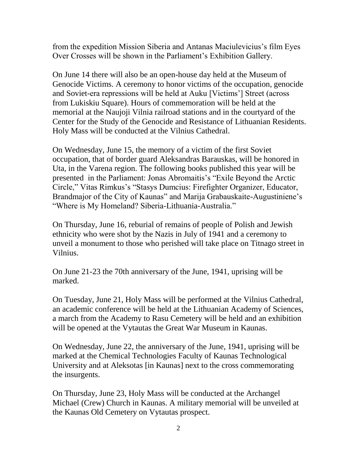from the expedition Mission Siberia and Antanas Maciulevicius's film Eyes Over Crosses will be shown in the Parliament's Exhibition Gallery.

On June 14 there will also be an open-house day held at the Museum of Genocide Victims. A ceremony to honor victims of the occupation, genocide and Soviet-era repressions will be held at Auku [Victims'] Street (across from Lukiskiu Square). Hours of commemoration will be held at the memorial at the Naujoji Vilnia railroad stations and in the courtyard of the Center for the Study of the Genocide and Resistance of Lithuanian Residents. Holy Mass will be conducted at the Vilnius Cathedral.

On Wednesday, June 15, the memory of a victim of the first Soviet occupation, that of border guard Aleksandras Barauskas, will be honored in Uta, in the Varena region. The following books published this year will be presented in the Parliament: Jonas Abromaitis's "Exile Beyond the Arctic Circle," Vitas Rimkus's "Stasys Dumcius: Firefighter Organizer, Educator, Brandmajor of the City of Kaunas" and Marija Grabauskaite-Augustiniene's "Where is My Homeland? Siberia-Lithuania-Australia."

On Thursday, June 16, reburial of remains of people of Polish and Jewish ethnicity who were shot by the Nazis in July of 1941 and a ceremony to unveil a monument to those who perished will take place on Titnago street in Vilnius.

On June 21-23 the 70th anniversary of the June, 1941, uprising will be marked.

On Tuesday, June 21, Holy Mass will be performed at the Vilnius Cathedral, an academic conference will be held at the Lithuanian Academy of Sciences, a march from the Academy to Rasu Cemetery will be held and an exhibition will be opened at the Vytautas the Great War Museum in Kaunas.

On Wednesday, June 22, the anniversary of the June, 1941, uprising will be marked at the Chemical Technologies Faculty of Kaunas Technological University and at Aleksotas [in Kaunas] next to the cross commemorating the insurgents.

On Thursday, June 23, Holy Mass will be conducted at the Archangel Michael (Crew) Church in Kaunas. A military memorial will be unveiled at the Kaunas Old Cemetery on Vytautas prospect.